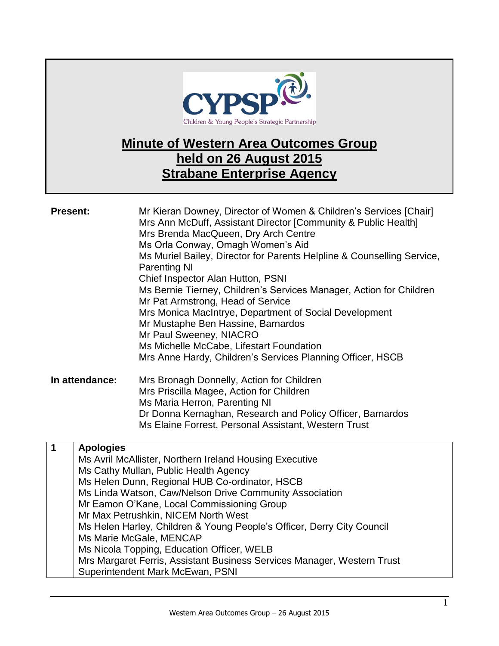

## **Minute of Western Area Outcomes Group held on 26 August 2015 Strabane Enterprise Agency**

| <b>Present:</b> |                  | Mr Kieran Downey, Director of Women & Children's Services [Chair]<br>Mrs Ann McDuff, Assistant Director [Community & Public Health]<br>Mrs Brenda MacQueen, Dry Arch Centre<br>Ms Orla Conway, Omagh Women's Aid<br>Ms Muriel Bailey, Director for Parents Helpline & Counselling Service,<br><b>Parenting NI</b><br>Chief Inspector Alan Hutton, PSNI<br>Ms Bernie Tierney, Children's Services Manager, Action for Children<br>Mr Pat Armstrong, Head of Service<br>Mrs Monica MacIntrye, Department of Social Development<br>Mr Mustaphe Ben Hassine, Barnardos<br>Mr Paul Sweeney, NIACRO<br>Ms Michelle McCabe, Lifestart Foundation<br>Mrs Anne Hardy, Children's Services Planning Officer, HSCB |
|-----------------|------------------|---------------------------------------------------------------------------------------------------------------------------------------------------------------------------------------------------------------------------------------------------------------------------------------------------------------------------------------------------------------------------------------------------------------------------------------------------------------------------------------------------------------------------------------------------------------------------------------------------------------------------------------------------------------------------------------------------------|
|                 | In attendance:   | Mrs Bronagh Donnelly, Action for Children                                                                                                                                                                                                                                                                                                                                                                                                                                                                                                                                                                                                                                                               |
|                 |                  | Mrs Priscilla Magee, Action for Children                                                                                                                                                                                                                                                                                                                                                                                                                                                                                                                                                                                                                                                                |
|                 |                  | Ms Maria Herron, Parenting NI                                                                                                                                                                                                                                                                                                                                                                                                                                                                                                                                                                                                                                                                           |
|                 |                  | Dr Donna Kernaghan, Research and Policy Officer, Barnardos                                                                                                                                                                                                                                                                                                                                                                                                                                                                                                                                                                                                                                              |
|                 |                  | Ms Elaine Forrest, Personal Assistant, Western Trust                                                                                                                                                                                                                                                                                                                                                                                                                                                                                                                                                                                                                                                    |
| 1               | <b>Apologies</b> |                                                                                                                                                                                                                                                                                                                                                                                                                                                                                                                                                                                                                                                                                                         |
|                 |                  | Ms Avril McAllister, Northern Ireland Housing Executive                                                                                                                                                                                                                                                                                                                                                                                                                                                                                                                                                                                                                                                 |
|                 |                  | Ms Cathy Mullan, Public Health Agency                                                                                                                                                                                                                                                                                                                                                                                                                                                                                                                                                                                                                                                                   |
|                 |                  | Ms Helen Dunn, Regional HUB Co-ordinator, HSCB                                                                                                                                                                                                                                                                                                                                                                                                                                                                                                                                                                                                                                                          |
|                 |                  | Ms Linda Watson, Caw/Nelson Drive Community Association                                                                                                                                                                                                                                                                                                                                                                                                                                                                                                                                                                                                                                                 |
|                 |                  | Mr Eamon O'Kane, Local Commissioning Group<br>Mr Max Petrushkin, NICEM North West                                                                                                                                                                                                                                                                                                                                                                                                                                                                                                                                                                                                                       |
|                 |                  | Ms Helen Harley, Children & Young People's Officer, Derry City Council                                                                                                                                                                                                                                                                                                                                                                                                                                                                                                                                                                                                                                  |
|                 |                  | Ms Marie McGale, MENCAP                                                                                                                                                                                                                                                                                                                                                                                                                                                                                                                                                                                                                                                                                 |
|                 |                  | Ms Nicola Topping, Education Officer, WELB                                                                                                                                                                                                                                                                                                                                                                                                                                                                                                                                                                                                                                                              |
|                 |                  | Mrs Margaret Ferris, Assistant Business Services Manager, Western Trust                                                                                                                                                                                                                                                                                                                                                                                                                                                                                                                                                                                                                                 |
|                 |                  | Superintendent Mark McEwan, PSNI                                                                                                                                                                                                                                                                                                                                                                                                                                                                                                                                                                                                                                                                        |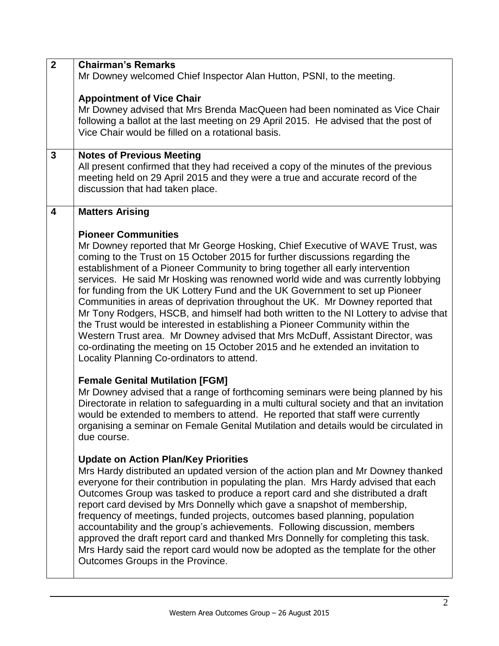| $\overline{2}$          | <b>Chairman's Remarks</b>                                                                  |  |  |
|-------------------------|--------------------------------------------------------------------------------------------|--|--|
|                         | Mr Downey welcomed Chief Inspector Alan Hutton, PSNI, to the meeting.                      |  |  |
|                         |                                                                                            |  |  |
|                         | <b>Appointment of Vice Chair</b>                                                           |  |  |
|                         | Mr Downey advised that Mrs Brenda MacQueen had been nominated as Vice Chair                |  |  |
|                         | following a ballot at the last meeting on 29 April 2015. He advised that the post of       |  |  |
|                         | Vice Chair would be filled on a rotational basis.                                          |  |  |
| 3                       | <b>Notes of Previous Meeting</b>                                                           |  |  |
|                         | All present confirmed that they had received a copy of the minutes of the previous         |  |  |
|                         | meeting held on 29 April 2015 and they were a true and accurate record of the              |  |  |
|                         | discussion that had taken place.                                                           |  |  |
|                         |                                                                                            |  |  |
| $\overline{\mathbf{4}}$ | <b>Matters Arising</b>                                                                     |  |  |
|                         | <b>Pioneer Communities</b>                                                                 |  |  |
|                         | Mr Downey reported that Mr George Hosking, Chief Executive of WAVE Trust, was              |  |  |
|                         | coming to the Trust on 15 October 2015 for further discussions regarding the               |  |  |
|                         | establishment of a Pioneer Community to bring together all early intervention              |  |  |
|                         | services. He said Mr Hosking was renowned world wide and was currently lobbying            |  |  |
|                         | for funding from the UK Lottery Fund and the UK Government to set up Pioneer               |  |  |
|                         | Communities in areas of deprivation throughout the UK. Mr Downey reported that             |  |  |
|                         | Mr Tony Rodgers, HSCB, and himself had both written to the NI Lottery to advise that       |  |  |
|                         | the Trust would be interested in establishing a Pioneer Community within the               |  |  |
|                         | Western Trust area. Mr Downey advised that Mrs McDuff, Assistant Director, was             |  |  |
|                         | co-ordinating the meeting on 15 October 2015 and he extended an invitation to              |  |  |
|                         | Locality Planning Co-ordinators to attend.                                                 |  |  |
|                         | <b>Female Genital Mutilation [FGM]</b>                                                     |  |  |
|                         | Mr Downey advised that a range of forthcoming seminars were being planned by his           |  |  |
|                         | Directorate in relation to safeguarding in a multi cultural society and that an invitation |  |  |
|                         | would be extended to members to attend. He reported that staff were currently              |  |  |
|                         | organising a seminar on Female Genital Mutilation and details would be circulated in       |  |  |
|                         | due course.                                                                                |  |  |
|                         | <b>Update on Action Plan/Key Priorities</b>                                                |  |  |
|                         | Mrs Hardy distributed an updated version of the action plan and Mr Downey thanked          |  |  |
|                         | everyone for their contribution in populating the plan. Mrs Hardy advised that each        |  |  |
|                         | Outcomes Group was tasked to produce a report card and she distributed a draft             |  |  |
|                         | report card devised by Mrs Donnelly which gave a snapshot of membership,                   |  |  |
|                         | frequency of meetings, funded projects, outcomes based planning, population                |  |  |
|                         | accountability and the group's achievements. Following discussion, members                 |  |  |
|                         | approved the draft report card and thanked Mrs Donnelly for completing this task.          |  |  |
|                         | Mrs Hardy said the report card would now be adopted as the template for the other          |  |  |
|                         | Outcomes Groups in the Province.                                                           |  |  |
|                         |                                                                                            |  |  |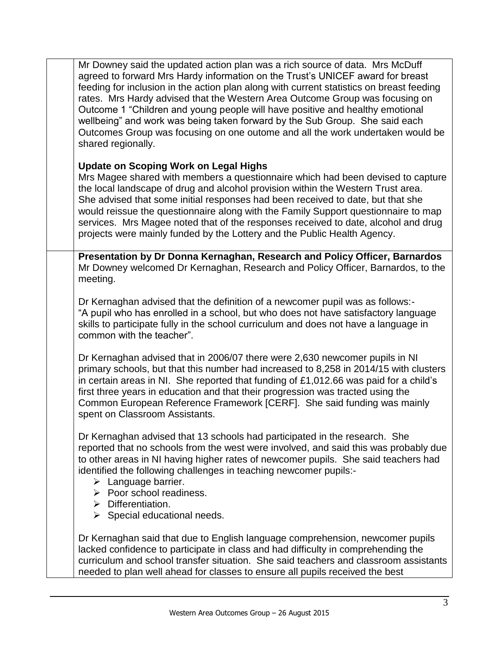Mr Downey said the updated action plan was a rich source of data. Mrs McDuff agreed to forward Mrs Hardy information on the Trust's UNICEF award for breast feeding for inclusion in the action plan along with current statistics on breast feeding rates. Mrs Hardy advised that the Western Area Outcome Group was focusing on Outcome 1 "Children and young people will have positive and healthy emotional wellbeing" and work was being taken forward by the Sub Group. She said each Outcomes Group was focusing on one outome and all the work undertaken would be shared regionally.

## **Update on Scoping Work on Legal Highs**

Mrs Magee shared with members a questionnaire which had been devised to capture the local landscape of drug and alcohol provision within the Western Trust area. She advised that some initial responses had been received to date, but that she would reissue the questionnaire along with the Family Support questionnaire to map services. Mrs Magee noted that of the responses received to date, alcohol and drug projects were mainly funded by the Lottery and the Public Health Agency.

**Presentation by Dr Donna Kernaghan, Research and Policy Officer, Barnardos** Mr Downey welcomed Dr Kernaghan, Research and Policy Officer, Barnardos, to the meeting.

Dr Kernaghan advised that the definition of a newcomer pupil was as follows:- "A pupil who has enrolled in a school, but who does not have satisfactory language skills to participate fully in the school curriculum and does not have a language in common with the teacher".

Dr Kernaghan advised that in 2006/07 there were 2,630 newcomer pupils in NI primary schools, but that this number had increased to 8,258 in 2014/15 with clusters in certain areas in NI. She reported that funding of £1,012.66 was paid for a child's first three years in education and that their progression was tracted using the Common European Reference Framework [CERF]. She said funding was mainly spent on Classroom Assistants.

Dr Kernaghan advised that 13 schools had participated in the research. She reported that no schools from the west were involved, and said this was probably due to other areas in NI having higher rates of newcomer pupils. She said teachers had identified the following challenges in teaching newcomer pupils:-

- $\triangleright$  Language barrier.
- $\triangleright$  Poor school readiness.
- $\triangleright$  Differentiation.
- $\triangleright$  Special educational needs.

Dr Kernaghan said that due to English language comprehension, newcomer pupils lacked confidence to participate in class and had difficulty in comprehending the curriculum and school transfer situation. She said teachers and classroom assistants needed to plan well ahead for classes to ensure all pupils received the best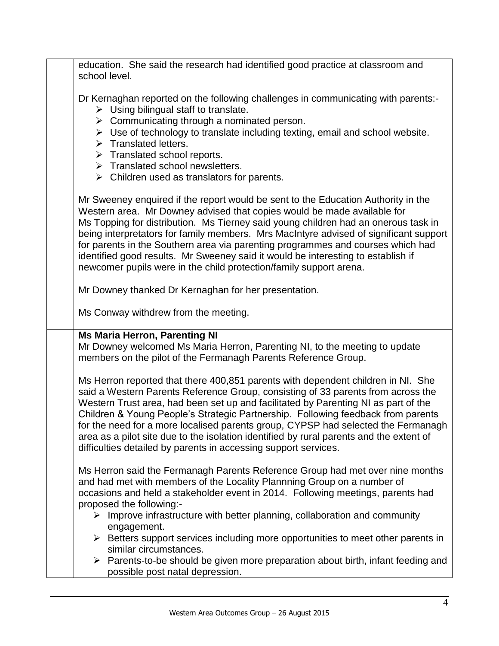education. She said the research had identified good practice at classroom and school level.

Dr Kernaghan reported on the following challenges in communicating with parents:-

- $\triangleright$  Using bilingual staff to translate.
- $\triangleright$  Communicating through a nominated person.
- $\triangleright$  Use of technology to translate including texting, email and school website.
- $\triangleright$  Translated letters.
- $\triangleright$  Translated school reports.
- $\triangleright$  Translated school newsletters.
- $\triangleright$  Children used as translators for parents.

Mr Sweeney enquired if the report would be sent to the Education Authority in the Western area. Mr Downey advised that copies would be made available for Ms Topping for distribution. Ms Tierney said young children had an onerous task in being interpretators for family members. Mrs MacIntyre advised of significant support for parents in the Southern area via parenting programmes and courses which had identified good results. Mr Sweeney said it would be interesting to establish if newcomer pupils were in the child protection/family support arena.

Mr Downey thanked Dr Kernaghan for her presentation.

Ms Conway withdrew from the meeting.

## **Ms Maria Herron, Parenting NI**

Mr Downey welcomed Ms Maria Herron, Parenting NI, to the meeting to update members on the pilot of the Fermanagh Parents Reference Group.

Ms Herron reported that there 400,851 parents with dependent children in NI. She said a Western Parents Reference Group, consisting of 33 parents from across the Western Trust area, had been set up and facilitated by Parenting NI as part of the Children & Young People's Strategic Partnership. Following feedback from parents for the need for a more localised parents group, CYPSP had selected the Fermanagh area as a pilot site due to the isolation identified by rural parents and the extent of difficulties detailed by parents in accessing support services.

Ms Herron said the Fermanagh Parents Reference Group had met over nine months and had met with members of the Locality Plannning Group on a number of occasions and held a stakeholder event in 2014. Following meetings, parents had proposed the following:-

- $\triangleright$  Improve infrastructure with better planning, collaboration and community engagement.
- $\triangleright$  Betters support services including more opportunities to meet other parents in similar circumstances.
- $\triangleright$  Parents-to-be should be given more preparation about birth, infant feeding and possible post natal depression.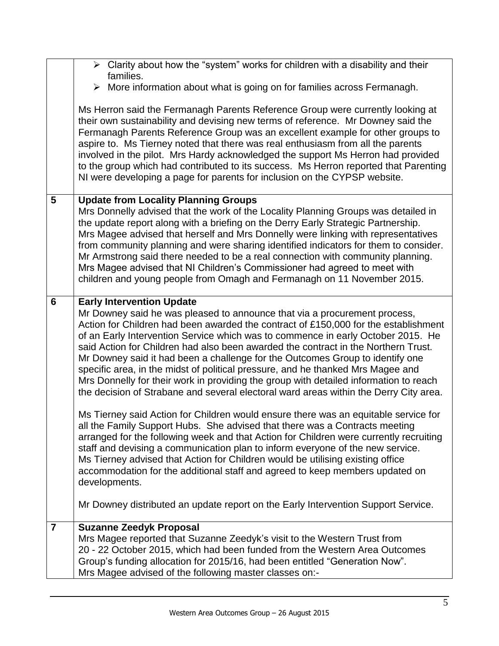|                | $\triangleright$ Clarity about how the "system" works for children with a disability and their                                                                                                                                                                                                                                                                                                                                                                                                                                                                                                                                                                                                                                                                                                                                                                                                             |
|----------------|------------------------------------------------------------------------------------------------------------------------------------------------------------------------------------------------------------------------------------------------------------------------------------------------------------------------------------------------------------------------------------------------------------------------------------------------------------------------------------------------------------------------------------------------------------------------------------------------------------------------------------------------------------------------------------------------------------------------------------------------------------------------------------------------------------------------------------------------------------------------------------------------------------|
|                | families.<br>$\triangleright$ More information about what is going on for families across Fermanagh.                                                                                                                                                                                                                                                                                                                                                                                                                                                                                                                                                                                                                                                                                                                                                                                                       |
|                | Ms Herron said the Fermanagh Parents Reference Group were currently looking at<br>their own sustainability and devising new terms of reference. Mr Downey said the<br>Fermanagh Parents Reference Group was an excellent example for other groups to<br>aspire to. Ms Tierney noted that there was real enthusiasm from all the parents<br>involved in the pilot. Mrs Hardy acknowledged the support Ms Herron had provided<br>to the group which had contributed to its success. Ms Herron reported that Parenting<br>NI were developing a page for parents for inclusion on the CYPSP website.                                                                                                                                                                                                                                                                                                           |
| 5              | <b>Update from Locality Planning Groups</b><br>Mrs Donnelly advised that the work of the Locality Planning Groups was detailed in<br>the update report along with a briefing on the Derry Early Strategic Partnership.<br>Mrs Magee advised that herself and Mrs Donnelly were linking with representatives<br>from community planning and were sharing identified indicators for them to consider.<br>Mr Armstrong said there needed to be a real connection with community planning.<br>Mrs Magee advised that NI Children's Commissioner had agreed to meet with<br>children and young people from Omagh and Fermanagh on 11 November 2015.                                                                                                                                                                                                                                                             |
| 6              | <b>Early Intervention Update</b><br>Mr Downey said he was pleased to announce that via a procurement process,<br>Action for Children had been awarded the contract of £150,000 for the establishment<br>of an Early Intervention Service which was to commence in early October 2015. He<br>said Action for Children had also been awarded the contract in the Northern Trust.<br>Mr Downey said it had been a challenge for the Outcomes Group to identify one<br>specific area, in the midst of political pressure, and he thanked Mrs Magee and<br>Mrs Donnelly for their work in providing the group with detailed information to reach<br>the decision of Strabane and several electoral ward areas within the Derry City area.<br>Ms Tierney said Action for Children would ensure there was an equitable service for<br>all the Family Support Hubs. She advised that there was a Contracts meeting |
|                | arranged for the following week and that Action for Children were currently recruiting<br>staff and devising a communication plan to inform everyone of the new service.<br>Ms Tierney advised that Action for Children would be utilising existing office<br>accommodation for the additional staff and agreed to keep members updated on<br>developments.                                                                                                                                                                                                                                                                                                                                                                                                                                                                                                                                                |
|                | Mr Downey distributed an update report on the Early Intervention Support Service.                                                                                                                                                                                                                                                                                                                                                                                                                                                                                                                                                                                                                                                                                                                                                                                                                          |
| $\overline{7}$ | <b>Suzanne Zeedyk Proposal</b><br>Mrs Magee reported that Suzanne Zeedyk's visit to the Western Trust from<br>20 - 22 October 2015, which had been funded from the Western Area Outcomes<br>Group's funding allocation for 2015/16, had been entitled "Generation Now".<br>Mrs Magee advised of the following master classes on:-                                                                                                                                                                                                                                                                                                                                                                                                                                                                                                                                                                          |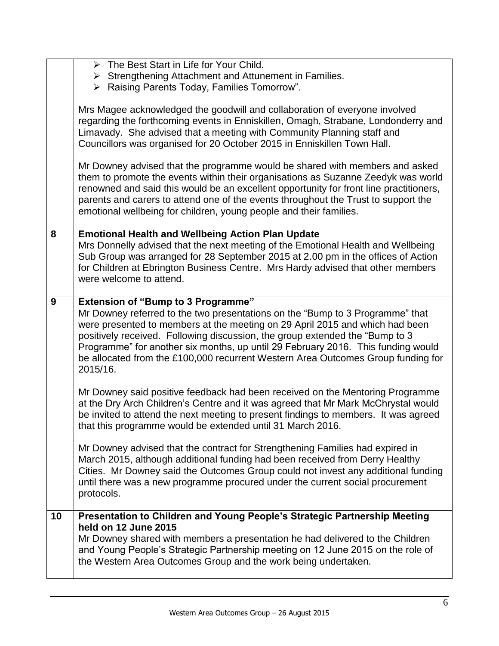|    | > The Best Start in Life for Your Child.                                               |
|----|----------------------------------------------------------------------------------------|
|    | $\triangleright$ Strengthening Attachment and Attunement in Families.                  |
|    | > Raising Parents Today, Families Tomorrow".                                           |
|    |                                                                                        |
|    | Mrs Magee acknowledged the goodwill and collaboration of everyone involved             |
|    | regarding the forthcoming events in Enniskillen, Omagh, Strabane, Londonderry and      |
|    | Limavady. She advised that a meeting with Community Planning staff and                 |
|    | Councillors was organised for 20 October 2015 in Enniskillen Town Hall.                |
|    | Mr Downey advised that the programme would be shared with members and asked            |
|    | them to promote the events within their organisations as Suzanne Zeedyk was world      |
|    | renowned and said this would be an excellent opportunity for front line practitioners, |
|    | parents and carers to attend one of the events throughout the Trust to support the     |
|    | emotional wellbeing for children, young people and their families.                     |
|    |                                                                                        |
| 8  | <b>Emotional Health and Wellbeing Action Plan Update</b>                               |
|    | Mrs Donnelly advised that the next meeting of the Emotional Health and Wellbeing       |
|    | Sub Group was arranged for 28 September 2015 at 2.00 pm in the offices of Action       |
|    | for Children at Ebrington Business Centre. Mrs Hardy advised that other members        |
|    | were welcome to attend.                                                                |
|    |                                                                                        |
| 9  | <b>Extension of "Bump to 3 Programme"</b>                                              |
|    | Mr Downey referred to the two presentations on the "Bump to 3 Programme" that          |
|    |                                                                                        |
|    | were presented to members at the meeting on 29 April 2015 and which had been           |
|    | positively received. Following discussion, the group extended the "Bump to 3           |
|    | Programme" for another six months, up until 29 February 2016. This funding would       |
|    | be allocated from the £100,000 recurrent Western Area Outcomes Group funding for       |
|    | 2015/16.                                                                               |
|    |                                                                                        |
|    | Mr Downey said positive feedback had been received on the Mentoring Programme          |
|    | at the Dry Arch Children's Centre and it was agreed that Mr Mark McChrystal would      |
|    | be invited to attend the next meeting to present findings to members. It was agreed    |
|    | that this programme would be extended until 31 March 2016.                             |
|    | Mr Downey advised that the contract for Strengthening Families had expired in          |
|    | March 2015, although additional funding had been received from Derry Healthy           |
|    | Cities. Mr Downey said the Outcomes Group could not invest any additional funding      |
|    | until there was a new programme procured under the current social procurement          |
|    | protocols.                                                                             |
|    |                                                                                        |
| 10 | Presentation to Children and Young People's Strategic Partnership Meeting              |
|    | held on 12 June 2015                                                                   |
|    | Mr Downey shared with members a presentation he had delivered to the Children          |
|    | and Young People's Strategic Partnership meeting on 12 June 2015 on the role of        |
|    | the Western Area Outcomes Group and the work being undertaken.                         |